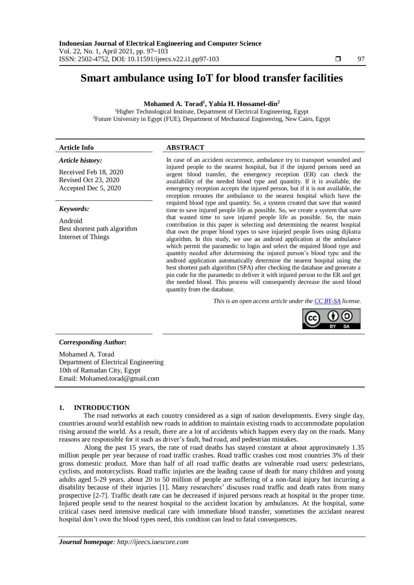# **Smart ambulance using IoT for blood transfer facilities**

# **Mohamed A. Torad<sup>1</sup> , Yahia H. Hossamel-din<sup>2</sup>**

<sup>1</sup>Higher Technological Institute, Department of Electrical Engineering, Egypt <sup>2</sup>Future University in Egypt (FUE), Department of Mechanical Engineering, New Cairo, Egypt

# **Article Info ABSTRACT**

#### *Article history:*

Received Feb 18, 2020 Revised Oct 23, 2020 Accepted Dec 5, 2020

# *Keywords:*

Android Best shortest path algorithm Internet of Things

In case of an accident occurrence, ambulance try to transport wounded and injured people to the nearest hospital, but if the injured persons need an urgent blood transfer, the emergency reception (ER) can check the availability of the needed blood type and quantity. If it is available, the emergency reception accepts the injured person, but if it is not available, the reception reroutes the ambulance to the nearest hospital which have the required blood type and quantity. So, a system created that save that wasted time to save injured people life as possible. So, we create a system that save that wasted time to save injured people life as possible. So, the main contribution in this paper is selecting and determining the nearest hospital that own the proper blood types to save injurjed people lives using dijkstra algorithm. In this study, we use an android application at the ambulance which permit the paramedic to login and select the required blood type and quantity needed after determining the injured person's blood type and the android application automatically determine the nearest hospital using the best shortest path algorithm (SPA) after checking the database and generate a pin code for the paramedic to deliver it with injured person to the ER and get the needed blood. This process will consequently decrease the used blood quantity from the database.

*This is an open access article under the [CC BY-SA](https://creativecommons.org/licenses/by-sa/4.0/) license.*



# *Corresponding Author:*

Mohamed A. Torad Department of Electrical Engineering 10th of Ramadan City, Egypt Email: Mohamed.torad@gmail.com

# **1. INTRODUCTION**

The road networks at each country considered as a sign of nation developments. Every single day, countries around world establish new roads in addition to maintain existing roads to accommodate population rising around the world. As a result, there are a lot of accidents which happen every day on the roads. Many reasons are responsible for it such as driver's fault, bad road, and pedestrian mistakes.

Along the past 15 years, the rate of road deaths has stayed constant at about approximately 1.35 million people per year because of road traffic crashes. Road traffic crashes cost most countries 3% of their gross domestic product. More than half of all road traffic deaths are vulnerable road users: pedestrians, cyclists, and motorcyclists. Road traffic injuries are the leading cause of death for many children and young adults aged 5-29 years. about 20 to 50 million of people are suffering of a non-fatal injury but incurring a disability because of their injuries [1]. Many researchers' discuses road traffic and death rates from many prospective [2-7]. Traffic death rate can be decreased if injured persons reach at hospital in the proper time. Injured people send to the nearest hospital to the accident location by ambulances. At the hospital, some critical cases need intensive medical care with immediate blood transfer, sometimes the accidant nearest hospital don't own the blood types need, this condtion can lead to fatal consequences.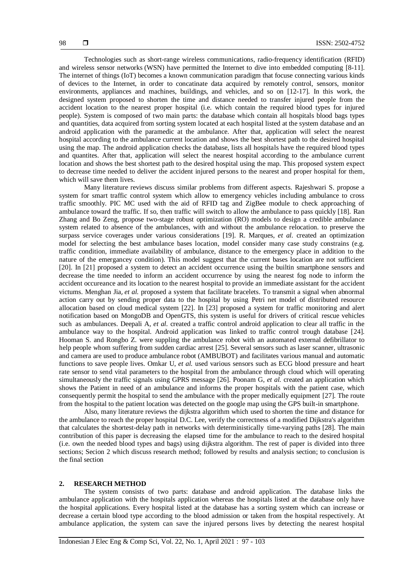Technologies such as short-range wireless communications, radio-frequency identification (RFID) and wireless sensor networks (WSN) have permitted the Internet to dive into embedded computing [8-11]. The internet of things (IoT) becomes a known communication paradigm that focuse connecting various kinds of devices to the Internet, in order to concatinate data acquired by remotely control, sensors, monitor environments, appliances and machines, buildings, and vehicles, and so on [12-17]. In this work, the designed system proposed to shorten the time and distance needed to transfer injured people from the accident location to the nearest proper hospital (i.e. which contain the required blood types for injured people). System is composed of two main parts: the database which contain all hospitals blood bags types and quantities, data acquired from sorting system located at each hospital listed at the system database and an android application with the paramedic at the ambulance. After that, application will select the nearest hospital according to the ambulance current location and shows the best shortest path to the desired hospital using the map. The android application checks the database, lists all hospitals have the required blood types and quantites. After that, application will select the nearest hospital according to the ambulance current location and shows the best shortest path to the desired hospital using the map. This proposed system expect to decrease time needed to deliver the accident injured persons to the nearest and proper hospital for them, which will save them lives.

Many literature reviews discuss similar problems from different aspects. Rajeshwari S. propose a system for smart traffic control system which allow to emergency vehicles including ambulance to cross traffic smoothly. PIC MC used with the aid of RFID tag and ZigBee module to check approaching of ambulance toward the traffic. If so, then traffic will switch to allow the ambulance to pass quickly [18]. Ran Zhang and Bo Zeng, propose two-stage robust optimization (RO) models to design a credible ambulance system related to absence of the ambulances, with and without the ambulance relocation. to preserve the surpass service coverages under various considerations [19]. R. Marques, *et al.* created an optimization model for selecting the best ambulance bases location, model consider many case study constrains (e.g. traffic condition, immediate availability of ambulance, distance to the emergency place in addition to the nature of the emergancey condition). This model suggest that the current bases location are not sufficient [20]. In [21] proposed a system to detect an accident occurrence using the builtin smartphone sensors and decrease the time needed to inform an accident occurrence by using the nearest fog node to inform the accident occureance and its location to the nearest hospital to provide an immediate assistant for the accident victums. [Menghan Jia](https://ieeexplore.ieee.org/author/37087103448), *et al.* proposed a system that facilitate bracelets. To transmit a signal when abnormal action carry out by sending proper data to the hospital by using Petri net model of distributed resource allocation based on cloud medical system [22]. In [23] proposed a system for traffic monitoring and alert notification based on MongoDB and OpenGTS, this system is useful for drivers of critical rescue vehicles such as ambulances. Deepali A, *et al.* created a traffic control android application to clear all traffic in the ambulance way to the hospital. Android application was linked to traffic control trough database [24]. Hooman S. and Rongbo Z. were suppling the ambulance robot with an automated external defibrillator to help people whom suffering from sudden cardiac arrest [25]. Several sensors such as laser scanner, ultrasonic and camera are used to produce ambulance robot (AMBUBOT) and facilitates various manual and automatic functions to save people lives. Omkar U, *et al.* used various sensors such as ECG blood pressure and heart rate sensor to send vital parameters to the hospital from the ambulance through cloud which will operating simultaneously the traffic signals using GPRS message [26]. Poonam G, *et al.* created an application which shows the Patient in need of an ambulance and informs the proper hospitals with the patient case, which consequently permit the hospital to send the ambulance with the proper medically equipment [27]. The route from the hospital to the patient location was detected on the google map using the GPS built-in smartphone.

Also, many literature reviews the dijkstra algorithm which used to shorten the time and distance for the ambulance to reach the proper hospital [D.C. Lee,](https://ieeexplore.ieee.org/author/37280606700) verify the correctness of a modified Dijkstra's algorithm that calculates the shortest-delay path in networks with deterministically time-varying paths [28]. The main contribution of this paper is decreasing the elapsed time for the ambulance to reach to the desired hospital (i.e. own the needed blood types and bags) using dijkstra algorithm. The rest of paper is divided into three sections; Secion 2 which discuss research method; followed by results and analysis section; to conclusion is the final section

### **2. RESEARCH METHOD**

The system consists of two parts: database and android application. The database links the ambulance application with the hospitals application whereas the hospitals listed at the database only have the hospital applications. Every hospital listed at the database has a sorting system which can increase or decrease a certain blood type according to the blood admission or taken from the hospital respectively. At ambulance application, the system can save the injured persons lives by detecting the nearest hospital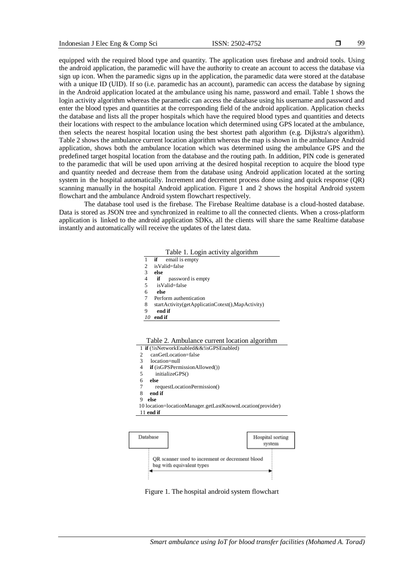99

equipped with the required blood type and quantity. The application uses firebase and android tools. Using the android application, the paramedic will have the authority to create an account to access the database via sign up icon. When the paramedic signs up in the application, the paramedic data were stored at the database with a unique ID (UID). If so (i.e. paramedic has an account), paramedic can access the database by signing in the Android application located at the ambulance using his name, password and email. Table 1 shows the login activity algorithm whereas the paramedic can access the database using his username and password and enter the blood types and quantities at the corresponding field of the android application. Application checks the database and lists all the proper hospitals which have the required blood types and quantities and detects their locations with respect to the ambulance location which determined using GPS located at the ambulance, then selects the nearest hospital location using the best shortest path algorithm (e.g. Dijkstra's algorithm). Table 2 shows the ambulance current location algorithm whereas the map is shown in the ambulance Android application, shows both the ambulance location which was determined using the ambulance GPS and the predefined target hospital location from the database and the routing path. In addition, PIN code is generated to the paramedic that will be used upon arriving at the desired hospital reception to acquire the blood type and quantity needed and decrease them from the database using Android application located at the sorting system in the hospital automatically. Increment and decrement process done using and quick response (QR) scanning manually in the hospital Android application. Figure 1 and 2 shows the hospital Android system flowchart and the ambulance Android system flowchart respectively.

The database tool used is the firebase. The Firebase Realtime database is a cloud-hosted database. Data is stored as JSON tree and synchronized in realtime to all the connected clients. When a cross-platform application is linked to the android application SDKs, all the clients will share the same Realtime database instantly and automatically will receive the updates of the latest data.

| Table 1. Login activity algorithm |  |  |
|-----------------------------------|--|--|
|-----------------------------------|--|--|

| 1  | <b>if</b> email is empty                         |
|----|--------------------------------------------------|
| 2  | isValid=false                                    |
| 3  | else                                             |
| 4  | password is empty<br>if                          |
| 5  | isValid=false                                    |
| 6  | else                                             |
| 7  | Perform authentication                           |
| 8  | startActivity(getApplicatinCotext(),MapActivity) |
| 9  | end if                                           |
| 10 | end if                                           |
|    |                                                  |

Table 2. Ambulance current location algorithm

- 1 **if** (!isNetworkEnabled&&!isGPSEnabled)
- 2canGetLocation=false
- 3 location=null
- 4 **if** (isGPSPermissionAllowed())
- 5 initializeGPS()
- 6 **else**
- 7 requestLocationPermission()
- 8 **end if**
- 9 **else**
- 10 location=locationManager.getLastKnownLocation(provider)





Figure 1. The hospital android system flowchart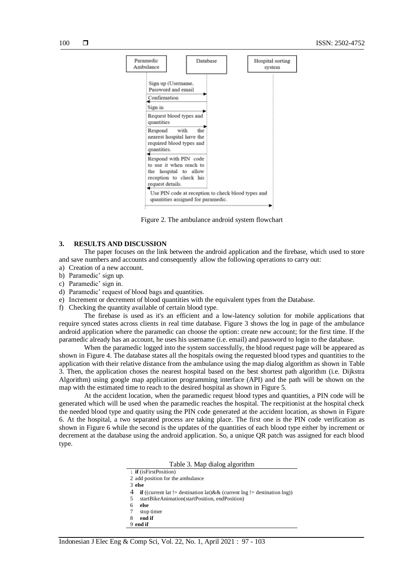

Figure 2. The ambulance android system flowchart

#### **3. RESULTS AND DISCUSSION**

The paper focuses on the link between the android application and the firebase, which used to store and save numbers and accounts and consequently allow the following operations to carry out:

- a) Creation of a new account.
- b) Paramedic' sign up.
- c) Paramedic' sign in.
- d) Paramedic' request of blood bags and quantities.
- e) Increment or decrement of blood quantities with the equivalent types from the Database.
- f) Checking the quantity available of certain blood type.

The firebase is used as it's an efficient and a low-latency solution for mobile applications that require synced states across clients in real time database. Figure 3 shows the log in page of the ambulance android application where the paramedic can choose the option: create new account; for the first time. If the paramedic already has an account, he uses his username (i.e. email) and password to login to the database.

When the paramedic logged into the system successfully, the blood request page will be appeared as shown in Figure 4. The database states all the hospitals owing the requested blood types and quantities to the application with their relative distance from the ambulance using the map dialog algorithm as shown in Table 3. Then, the application choses the nearest hospital based on the best shortest path algorithm (i.e. [Dijkstra](https://medium.com/@yk392/dijkstra-algorithm-key-to-finding-the-shortest-path-google-map-to-waze-56ff3d9f92f0)  [Algorithm\)](https://medium.com/@yk392/dijkstra-algorithm-key-to-finding-the-shortest-path-google-map-to-waze-56ff3d9f92f0) using google map application programming interface (API) and the path will be shown on the map with the estimated time to reach to the desired hospital as shown in Figure 5.

At the accident location, when the paramedic request blood types and quantities, a PIN code will be generated which will be used when the paramedic reaches the hospital. The recpitionist at the hospital check the needed blood type and quatity using the PIN code generated at the accident location, as shown in Figure 6. At the hospital, a two separated process are taking place. The first one is the PIN code verification as shown in Figure 6 while the second is the updates of the quantities of each blood type either by increment or decrement at the database using the android application. So, a unique QR patch was assigned for each blood type.

Table 3. Map dialog algorithm

| 1 <b>if</b> (is First Position)  |
|----------------------------------|
| 2 add position for the ambulance |

- 3 **else**
- 4 **if** ((current lat  $!=$  destination lat) $\&&$  (current lng  $!=$  destination lng))<br>5 startBikeAnimation(startPosition endPosition)
- 5 startBikeAnimation(startPosition, endPosition)
- 6 **else**
- 7 stop timer
- 8 **end if** *9* **end if**
-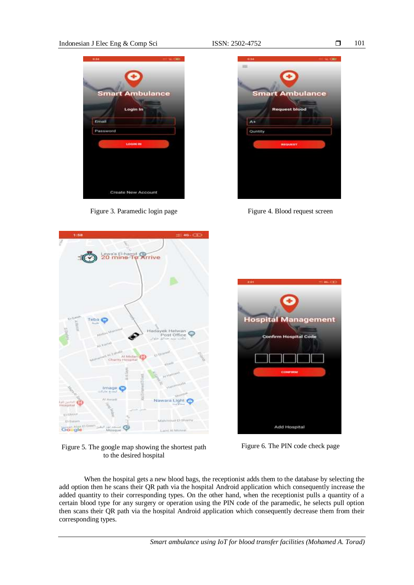# Indonesian J Elec Eng & Comp Sci ISSN: 2502-4752



Figure 3. Paramedic login page Figure 4. Blood request screen





Figure 5. The google map showing the shortest path to the desired hospital



Figure 6. The PIN code check page

When the hospital gets a new blood bags, the receptionist adds them to the database by selecting the add option then he scans their QR path via the hospital Android application which consequently increase the added quantity to their corresponding types. On the other hand, when the receptionist pulls a quantity of a certain blood type for any surgery or operation using the PIN code of the paramedic, he selects pull option then scans their QR path via the hospital Android application which consequently decrease them from their corresponding types.

101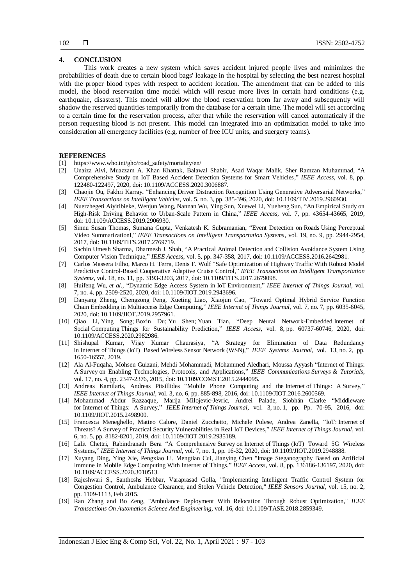# **4. CONCLUSION**

This work creates a new system which saves accident injured people lives and minimizes the probabilities of death due to certain blood bags' leakage in the hospital by selecting the best nearest hospital with the proper blood types with respect to accident location. The amendment that can be added to this model, the blood reservation time model which will rescue more lives in certain hard conditions (e.g. earthquake, disasters). This model will allow the blood reservation from far away and subsequently will shadow the reserved quantities temporarily from the database for a certain time. The model will set according to a certain time for the reservation process, after that while the reservation will cancel automaticaly if the person requesting blood is not present. This model can integrated into an optimization model to take into consideration all emergency facilities (e.g. number of free ICU units, and suergery teams).

### **REFERENCES**

- [1] [https://www.who.int/gho/road\\_safety/mortality/en/](https://www.who.int/gho/road_safety/mortality/en/)
- [2] [Unaiza Alvi,](https://ieeexplore.ieee.org/author/37088443512) [Muazzam A. Khan Khattak,](https://ieeexplore.ieee.org/author/37087711013) [Balawal Shabir,](https://ieeexplore.ieee.org/author/37087120906) [Asad Waqar Malik,](https://ieeexplore.ieee.org/author/37286840100) [Sher Ramzan Muhammad,](https://ieeexplore.ieee.org/author/37088443076) ["A](https://ieeexplore.ieee.org/document/9133106/)  [Comprehensive Study on IoT Based Accident Detection Systems for Smart Vehicles,](https://ieeexplore.ieee.org/document/9133106/)" *[IEEE Access](https://ieeexplore.ieee.org/xpl/RecentIssue.jsp?punumber=6287639)*, vol. 8, pp. 122480-122497, 2020, doi: 10.1109/ACCESS.2020.3006887.
- [3] [Chaojie Ou,](https://ieeexplore.ieee.org/author/37086479878) [Fakhri Karray,](https://ieeexplore.ieee.org/author/37275052800) ["Enhancing Driver Distraction Recognition Using Generative Adversarial Networks,](https://ieeexplore.ieee.org/document/8936914/)" *[IEEE Transactions on Intelligent Vehicles](https://ieeexplore.ieee.org/xpl/RecentIssue.jsp?punumber=7274857)*, vol. 5, [no. 3,](https://ieeexplore.ieee.org/xpl/tocresult.jsp?isnumber=9178528) pp. 385-396, 2020, doi: 10.1109/TIV.2019.2960930.
- [4] [Nuerzhegeti Aiyitibieke,](https://ieeexplore.ieee.org/author/37086811758) [Wenjun Wang,](https://ieeexplore.ieee.org/author/37677149500) [Nannan Wu,](https://ieeexplore.ieee.org/author/37086811632) [Ying Sun,](https://ieeexplore.ieee.org/author/37086813131) [Xuewei Li,](https://ieeexplore.ieee.org/author/37075443100) [Yueheng Sun,](https://ieeexplore.ieee.org/author/37086560373) ["An Empirical Study on](https://ieeexplore.ieee.org/document/8672888/)  [High-Risk Driving Behavior to Urban-Scale Pattern in China,"](https://ieeexplore.ieee.org/document/8672888/) *[IEEE Access,](https://ieeexplore.ieee.org/xpl/RecentIssue.jsp?punumber=6287639)* vol. 7, pp. 43654-43665, 2019, doi: 10.1109/ACCESS.2019.2906930.
- [5] [Sinnu Susan Thomas,](https://ieeexplore.ieee.org/author/37085373979) [Sumana Gupta,](https://ieeexplore.ieee.org/author/37291768100) [Venkatesh K. Subramanian,](https://ieeexplore.ieee.org/author/38062431300) ["Event Detection on](https://ieeexplore.ieee.org/document/8168381/) Roads Using Perceptual [Video Summarizationl,](https://ieeexplore.ieee.org/document/8168381/)" *[IEEE Transactions on Intelligent Transportation Systems](https://ieeexplore.ieee.org/xpl/RecentIssue.jsp?punumber=6979)*, vol. 19, [no. 9, p](https://ieeexplore.ieee.org/xpl/tocresult.jsp?isnumber=8458340)p. 2944-2954, 2017, doi: 10.1109/TITS.2017.2769719.
- [6] [Sachin Umesh Sharma,](https://ieeexplore.ieee.org/author/37085676073) [Dharmesh J. Shah,](https://ieeexplore.ieee.org/author/38185349100) ["A Practical Animal Detection and Collision Avoidance System Using](https://ieeexplore.ieee.org/document/7792584/)  [Computer Vision Technique,](https://ieeexplore.ieee.org/document/7792584/)" *[IEEE Access](https://ieeexplore.ieee.org/xpl/RecentIssue.jsp?punumber=6287639)*, vol. 5, pp. 347-358, 2017, doi: 10.1109/ACCESS.2016.2642981.
- [7] [Carlos Massera Filho,](https://ieeexplore.ieee.org/author/37086240318) [Marco H. Terra,](https://ieeexplore.ieee.org/author/37296856100) [Denis F. Wolf](https://ieeexplore.ieee.org/author/37273161200) "Safe Optimization of Highway Traffic [With Robust Model](https://ieeexplore.ieee.org/document/7932167/)  [Predictive Control-Based Cooperative Adaptive Cruise Control,"](https://ieeexplore.ieee.org/document/7932167/) *[IEEE Transactions on Intelligent Transportation](https://ieeexplore.ieee.org/xpl/RecentIssue.jsp?punumber=6979)  [Systems](https://ieeexplore.ieee.org/xpl/RecentIssue.jsp?punumber=6979)*, vol. 18, no. [11,](https://ieeexplore.ieee.org/xpl/tocresult.jsp?isnumber=8089454) pp. 3193-3203, 2017, doi: 10.1109/TITS.2017.2679098.
- [8] [Huifeng Wu,](https://ieeexplore.ieee.org/author/38007842900) *et al.,* ["Dynamic Edge Access System in](https://ieeexplore.ieee.org/document/8848438/) IoT Environment," *[IEEE Internet of Things Journal](https://ieeexplore.ieee.org/xpl/RecentIssue.jsp?punumber=6488907)*, vol. 7, [no.](https://ieeexplore.ieee.org/xpl/tocresult.jsp?isnumber=9066849) 4, pp. 2509-2520, 2020, doi: 10.1109/JIOT.2019.2943696.
- [9] [Danyang Zheng,](https://ieeexplore.ieee.org/author/37086137982) [Chengzong Peng,](https://ieeexplore.ieee.org/author/37086884051) [Xueting Liao,](https://ieeexplore.ieee.org/author/37086886204) [Xiaojun Cao,](https://ieeexplore.ieee.org/author/37276620400) ["Toward Optimal Hybrid Service Function](https://ieeexplore.ieee.org/document/8924609/)  Chain Embedding [in Multiaccess Edge](https://ieeexplore.ieee.org/document/8924609/) Computing," *[IEEE Internet of Things Journal](https://ieeexplore.ieee.org/xpl/RecentIssue.jsp?punumber=6488907)*, vol. 7, no. [7, p](https://ieeexplore.ieee.org/xpl/tocresult.jsp?isnumber=9066849)p. 6035-6045, 2020, doi: 10.1109/JIOT.2019.2957961.
- [10] [Qiao Li,](https://ieeexplore.ieee.org/author/37088364455) [Ying Song;](https://ieeexplore.ieee.org/author/37088363143) [Boxin Du;](https://ieeexplore.ieee.org/author/37088363450) [Yu Shen;](https://ieeexplore.ieee.org/author/37086699924) [Yuan Tian,](https://ieeexplore.ieee.org/author/37088364672) ["Deep Neural Network-Embedded](https://ieeexplore.ieee.org/document/9046021/) Internet of Social Computing [Things for Sustainability Prediction,](https://ieeexplore.ieee.org/document/9046021/)" *[IEEE Access](https://ieeexplore.ieee.org/xpl/RecentIssue.jsp?punumber=6287639)*, vol. 8, pp. 60737-60746, 2020, doi: 10.1109/ACCESS.2020.2982986.
- [11] [Shishupal Kumar,](https://ieeexplore.ieee.org/author/37086441431) [Vijay Kumar Chaurasiya,](https://ieeexplore.ieee.org/author/37713650200) ["A Strategy for Elimination of Data Redundancy](https://ieeexplore.ieee.org/document/8494759/)  in Internet of Things [\(IoT\) Based](https://ieeexplore.ieee.org/document/8494759/) Wireless Sensor Network (WSN)," *[IEEE Systems Journal](https://ieeexplore.ieee.org/xpl/RecentIssue.jsp?punumber=4267003)*, vol. 13, [no.](https://ieeexplore.ieee.org/xpl/tocresult.jsp?isnumber=8727580) 2, pp. 1650-16557, 2019.
- [12] [Ala Al-Fuqaha,](https://ieeexplore.ieee.org/author/38276314600) [Mohsen Guizani,](https://ieeexplore.ieee.org/author/37273043000) Mehdi [Mohammadi,](https://ieeexplore.ieee.org/author/37085529196) [Mohammed Aledhari,](https://ieeexplore.ieee.org/author/37085470559) [Moussa Ayyash](https://ieeexplore.ieee.org/author/37296098200) ["Internet](https://ieeexplore.ieee.org/document/7123563/) of Things: A Survey [on Enabling Technologies, Protocols, and Applications,](https://ieeexplore.ieee.org/document/7123563/)" *[IEEE Communications](https://ieeexplore.ieee.org/xpl/RecentIssue.jsp?punumber=9739) Surveys & Tutorials*, vol. 17, [no.](https://ieeexplore.ieee.org/xpl/tocresult.jsp?isnumber=7331734) 4, pp. 2347-2376, 2015, doi: 10.1109/COMST.2015.2444095.
- [13] [Andreas Kamilaris,](https://ieeexplore.ieee.org/author/37992827100) [Andreas Pitsillides](https://ieeexplore.ieee.org/author/37282520600) ["Mobile Phone Computing and the](https://ieeexplore.ieee.org/document/7544470/) Internet of Things: A Survey," *IEEE [Internet](https://ieeexplore.ieee.org/xpl/RecentIssue.jsp?punumber=6488907) of Things Journal*, vol. 3, no. 6, pp. 885-898, 2016, doi: 10.1109/JIOT.2016.2600569.
- [14] [Mohammad Abdur Razzaque,](https://ieeexplore.ieee.org/author/37299780800) [Marija Milojevic-Jevric,](https://ieeexplore.ieee.org/author/37085662878) [Andrei Palade,](https://ieeexplore.ieee.org/author/37085667713) [Siobhán Clarke](https://ieeexplore.ieee.org/author/37279172800) ["Middleware](https://ieeexplore.ieee.org/document/7322178/)  for Internet of [Things: A](https://ieeexplore.ieee.org/document/7322178/) Survey," *IEEE Internet of Things [Journal,](https://ieeexplore.ieee.org/xpl/RecentIssue.jsp?punumber=6488907)* vol. 3, [no.](https://ieeexplore.ieee.org/xpl/tocresult.jsp?isnumber=7387818) 1, pp. Pp. 70-95, 2016, doi: 10.1109/JIOT.2015.2498900.
- [15] [Francesca Meneghello,](https://ieeexplore.ieee.org/author/37087043499) [Matteo Calore,](https://ieeexplore.ieee.org/author/37086241238) [Daniel Zucchetto,](https://ieeexplore.ieee.org/author/37085549718) [Michele Polese,](https://ieeexplore.ieee.org/author/37085809438) [Andrea Zanella,](https://ieeexplore.ieee.org/author/37286693000) "IoT: [Internet](https://ieeexplore.ieee.org/document/8796409/) of Threats? A Survey [of Practical Security Vulnerabilities in Real](https://ieeexplore.ieee.org/document/8796409/) IoT Devices," *IEEE [Internet](https://ieeexplore.ieee.org/xpl/RecentIssue.jsp?punumber=6488907) of Things Journal*, vol. 6, [no.](https://ieeexplore.ieee.org/xpl/tocresult.jsp?isnumber=8863548) 5, pp. 8182-8201, 2019, doi: 10.1109/JIOT.2019.2935189.
- [16] [Lalit Chettri,](https://ieeexplore.ieee.org/author/37087237363) [Rabindranath Bera](https://ieeexplore.ieee.org/author/37320993300) "A Comprehensive Survey on Internet of Things [\(IoT\) Toward 5G Wireless](https://ieeexplore.ieee.org/document/8879484/)  [Systems,"](https://ieeexplore.ieee.org/document/8879484/) *IEEE Internet of Things [Journal,](https://ieeexplore.ieee.org/xpl/RecentIssue.jsp?punumber=6488907)* vol. 7, [no.](https://ieeexplore.ieee.org/xpl/tocresult.jsp?isnumber=8955685) 1, pp. 16-32, 2020, doi: 10.1109/JIOT.2019.2948888.
- [17] [Xuyang Ding,](https://ieeexplore.ieee.org/author/37088483792) [Ying Xie,](https://ieeexplore.ieee.org/author/37088484060) [Pengxiao Li,](https://ieeexplore.ieee.org/author/37088489328) [Mengtian Cui,](https://ieeexplore.ieee.org/author/37088481042) [Jianying Chen](https://ieeexplore.ieee.org/author/37088480947) ["Image Steganography Based on Artificial](https://ieeexplore.ieee.org/document/9144637/)  [Immune in Mobile Edge](https://ieeexplore.ieee.org/document/9144637/) Computing With Internet of Things," *[IEEE Access](https://ieeexplore.ieee.org/xpl/RecentIssue.jsp?punumber=6287639)*, vol. 8, pp. 136186-136197, 2020, doi: 10.1109/ACCESS.2020.3010513.
- [18] Rajeshwari S., Santhoshs Hebbar, Varaprasad Golla, "Implementing Intelligent Traffic Control System for Congestion Control, Ambulance Clearance, and Stolen Vehicle Detection," *[IEEE Sensors Journal](https://ieeexplore.ieee.org/xpl/RecentIssue.jsp?punumber=7361)*, vol. 15, [no.](https://ieeexplore.ieee.org/xpl/tocresult.jsp?isnumber=6962917) 2, pp. 1109-1113, Feb 2015.
- [19] Ran Zhang and Bo Zeng, "Ambulance Deployment With Relocation Through Robust Optimization," *IEEE Transactions On Automation Science And Engineering*, vol. 16, doi: 10.1109/TASE.2018.2859349.